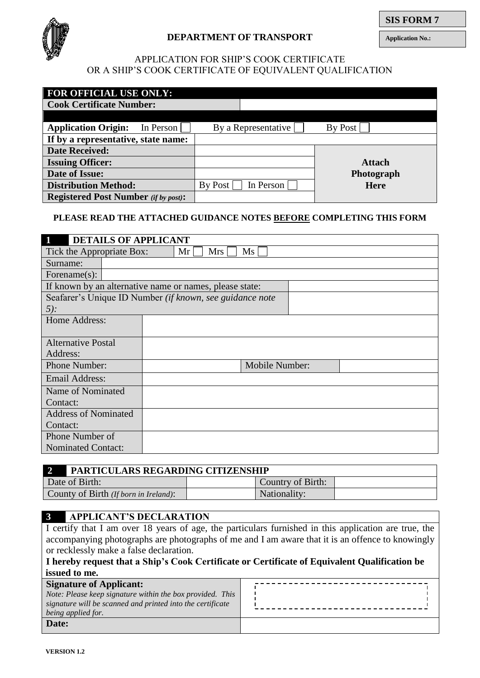

# **DEPARTMENT OF TRANSPORT**

**Application No.:**

# APPLICATION FOR SHIP'S COOK CERTIFICATE OR A SHIP'S COOK CERTIFICATE OF EQUIVALENT QUALIFICATION

| <b>FOR OFFICIAL USE ONLY:</b>               |         |                     |               |  |
|---------------------------------------------|---------|---------------------|---------------|--|
| <b>Cook Certificate Number:</b>             |         |                     |               |  |
|                                             |         |                     |               |  |
| <b>Application Origin:</b><br>In Person     |         | By a Representative | By Post       |  |
| If by a representative, state name:         |         |                     |               |  |
| <b>Date Received:</b>                       |         |                     |               |  |
| <b>Issuing Officer:</b>                     |         |                     | <b>Attach</b> |  |
| <b>Date of Issue:</b>                       |         |                     | Photograph    |  |
| <b>Distribution Method:</b>                 | By Post | In Person           | <b>Here</b>   |  |
| <b>Registered Post Number</b> (if by post): |         |                     |               |  |

## **PLEASE READ THE ATTACHED GUIDANCE NOTES BEFORE COMPLETING THIS FORM**

| $\blacksquare$<br><b>DETAILS OF APPLICANT</b>             |                                                          |  |  |
|-----------------------------------------------------------|----------------------------------------------------------|--|--|
| Ms<br>Tick the Appropriate Box:<br>Mr <sub>l</sub><br>Mrs |                                                          |  |  |
| Surname:                                                  |                                                          |  |  |
| Forename $(s)$ :                                          |                                                          |  |  |
|                                                           | If known by an alternative name or names, please state:  |  |  |
|                                                           | Seafarer's Unique ID Number (if known, see guidance note |  |  |
| $5$ :                                                     |                                                          |  |  |
| Home Address:                                             |                                                          |  |  |
|                                                           |                                                          |  |  |
| <b>Alternative Postal</b>                                 |                                                          |  |  |
| Address:                                                  |                                                          |  |  |
| Phone Number:                                             | Mobile Number:                                           |  |  |
| Email Address:                                            |                                                          |  |  |
| Name of Nominated                                         |                                                          |  |  |
| Contact:                                                  |                                                          |  |  |
| <b>Address of Nominated</b>                               |                                                          |  |  |
| Contact:                                                  |                                                          |  |  |
| Phone Number of                                           |                                                          |  |  |
| <b>Nominated Contact:</b>                                 |                                                          |  |  |

|                                       | <b>PARTICULARS REGARDING CITIZENSHIP</b> |  |  |
|---------------------------------------|------------------------------------------|--|--|
| Date of Birth:                        | Country of Birth:                        |  |  |
| County of Birth (If born in Ireland): | Nationality:                             |  |  |

# **3 APPLICANT'S DECLARATION**

I certify that I am over 18 years of age, the particulars furnished in this application are true, the accompanying photographs are photographs of me and I am aware that it is an offence to knowingly or recklessly make a false declaration.

# **I hereby request that a Ship's Cook Certificate or Certificate of Equivalent Qualification be issued to me.**

| <b>Signature of Applicant:</b>                             |  |
|------------------------------------------------------------|--|
| Note: Please keep signature within the box provided. This  |  |
| signature will be scanned and printed into the certificate |  |
| being applied for.                                         |  |
| Date:                                                      |  |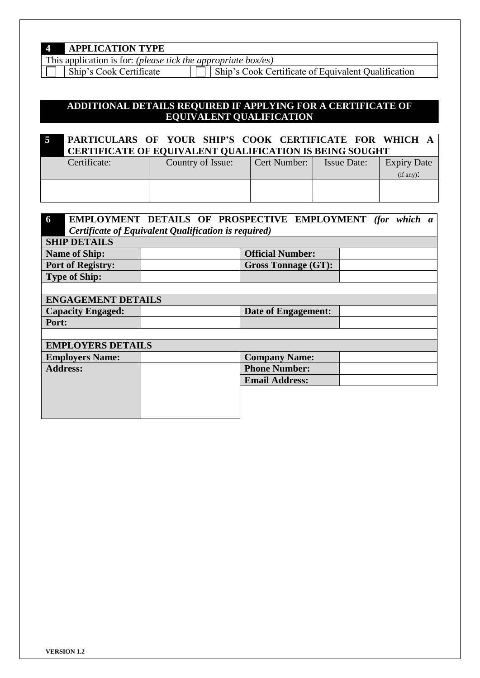| <b>APPLICATION TYPE</b> |  |
|-------------------------|--|
|-------------------------|--|

This application is for: *(please tick the appropriate box/es)*<br>
Ship's Cook Certificate | Ship's Cook Ce

Ship's Cook Certificate of Equivalent Qualification

# **ADDITIONAL DETAILS REQUIRED IF APPLYING FOR A CERTIFICATE OF EQUIVALENT QUALIFICATION**

|              | PARTICULARS OF YOUR SHIP'S COOK CERTIFICATE FOR WHICH A<br><b>CERTIFICATE OF EQUIVALENT QUALIFICATION IS BEING SOUGHT</b> |                |                    |                                 |
|--------------|---------------------------------------------------------------------------------------------------------------------------|----------------|--------------------|---------------------------------|
| Certificate: | Country of Issue:                                                                                                         | Cert Number: 1 | <b>Issue Date:</b> | <b>Expiry Date</b><br>(if any): |
|              |                                                                                                                           |                |                    |                                 |

| 6                        |                                                      |  | EMPLOYMENT DETAILS OF PROSPECTIVE EMPLOYMENT (for which a |  |  |
|--------------------------|------------------------------------------------------|--|-----------------------------------------------------------|--|--|
|                          | Certificate of Equivalent Qualification is required) |  |                                                           |  |  |
|                          | <b>SHIP DETAILS</b>                                  |  |                                                           |  |  |
|                          | <b>Name of Ship:</b>                                 |  | <b>Official Number:</b>                                   |  |  |
|                          | <b>Port of Registry:</b>                             |  | <b>Gross Tonnage (GT):</b>                                |  |  |
|                          | <b>Type of Ship:</b>                                 |  |                                                           |  |  |
|                          |                                                      |  |                                                           |  |  |
|                          | <b>ENGAGEMENT DETAILS</b>                            |  |                                                           |  |  |
|                          | <b>Capacity Engaged:</b>                             |  | Date of Engagement:                                       |  |  |
|                          | Port:                                                |  |                                                           |  |  |
|                          |                                                      |  |                                                           |  |  |
| <b>EMPLOYERS DETAILS</b> |                                                      |  |                                                           |  |  |
|                          | <b>Employers Name:</b>                               |  | <b>Company Name:</b>                                      |  |  |
| <b>Address:</b>          |                                                      |  | <b>Phone Number:</b>                                      |  |  |
|                          |                                                      |  | <b>Email Address:</b>                                     |  |  |
|                          |                                                      |  |                                                           |  |  |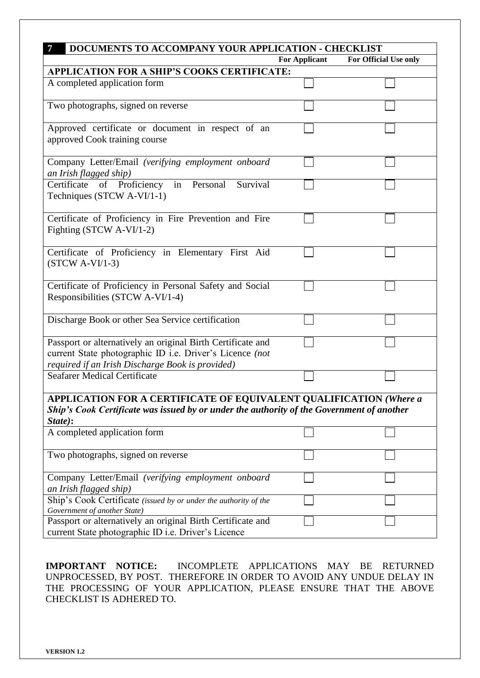| 7<br>DOCUMENTS TO ACCOMPANY YOUR APPLICATION - CHECKLIST                                                                                                                          |                      |                       |  |  |
|-----------------------------------------------------------------------------------------------------------------------------------------------------------------------------------|----------------------|-----------------------|--|--|
|                                                                                                                                                                                   | <b>For Applicant</b> | For Official Use only |  |  |
| <b>APPLICATION FOR A SHIP'S COOKS CERTIFICATE:</b>                                                                                                                                |                      |                       |  |  |
| A completed application form                                                                                                                                                      |                      |                       |  |  |
| Two photographs, signed on reverse                                                                                                                                                |                      |                       |  |  |
| Approved certificate or document in respect of an<br>approved Cook training course                                                                                                |                      |                       |  |  |
| Company Letter/Email (verifying employment onboard<br>an Irish flagged ship)                                                                                                      |                      |                       |  |  |
| in Personal<br>Survival<br>Certificate<br>of Proficiency<br>Techniques (STCW A-VI/1-1)                                                                                            |                      |                       |  |  |
| Certificate of Proficiency in Fire Prevention and Fire<br>Fighting (STCW A-VI/1-2)                                                                                                |                      |                       |  |  |
| Certificate of Proficiency in Elementary First Aid<br>$(STCW A-VI/1-3)$                                                                                                           |                      |                       |  |  |
| Certificate of Proficiency in Personal Safety and Social<br>Responsibilities (STCW A-VI/1-4)                                                                                      |                      |                       |  |  |
| Discharge Book or other Sea Service certification                                                                                                                                 |                      |                       |  |  |
| Passport or alternatively an original Birth Certificate and<br>current State photographic ID i.e. Driver's Licence (not<br>required if an Irish Discharge Book is provided)       |                      |                       |  |  |
| <b>Seafarer Medical Certificate</b>                                                                                                                                               |                      |                       |  |  |
| <b>APPLICATION FOR A CERTIFICATE OF EQUIVALENT QUALIFICATION (Where a</b><br>Ship's Cook Certificate was issued by or under the authority of the Government of another<br>State): |                      |                       |  |  |
| A completed application form                                                                                                                                                      |                      |                       |  |  |
| Two photographs, signed on reverse                                                                                                                                                |                      |                       |  |  |
| Company Letter/Email (verifying employment onboard<br>an Irish flagged ship)                                                                                                      |                      |                       |  |  |
| Ship's Cook Certificate (issued by or under the authority of the<br>Government of another State)                                                                                  |                      |                       |  |  |
| Passport or alternatively an original Birth Certificate and<br>current State photographic ID i.e. Driver's Licence                                                                |                      |                       |  |  |

**IMPORTANT NOTICE:** INCOMPLETE APPLICATIONS MAY BE RETURNED UNPROCESSED, BY POST. THEREFORE IN ORDER TO AVOID ANY UNDUE DELAY IN THE PROCESSING OF YOUR APPLICATION, PLEASE ENSURE THAT THE ABOVE CHECKLIST IS ADHERED TO.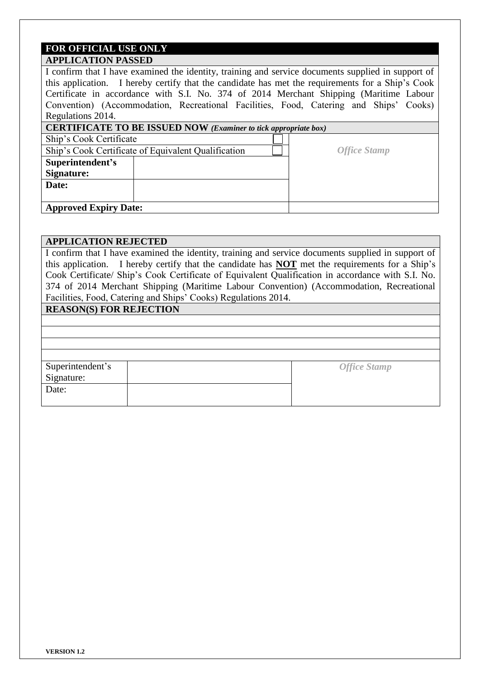### **FOR OFFICIAL USE ONLY APPLICATION PASSED**

I confirm that I have examined the identity, training and service documents supplied in support of this application. I hereby certify that the candidate has met the requirements for a Ship's Cook Certificate in accordance with S.I. No. 374 of 2014 Merchant Shipping (Maritime Labour Convention) (Accommodation, Recreational Facilities, Food, Catering and Ships' Cooks) Regulations 2014. **CERTIFICATE TO BE ISSUED NOW** *(Examiner to tick appropriate box)* Ship's Cook Certificate Ship's Cook Certificate of Equivalent Qualification *Office Stamp* **Superintendent's** 

**Approved Expiry Date:**

**Signature: Date:**

### **APPLICATION REJECTED**

I confirm that I have examined the identity, training and service documents supplied in support of this application. I hereby certify that the candidate has **NOT** met the requirements for a Ship's Cook Certificate/ Ship's Cook Certificate of Equivalent Qualification in accordance with S.I. No. 374 of 2014 Merchant Shipping (Maritime Labour Convention) (Accommodation, Recreational Facilities, Food, Catering and Ships' Cooks) Regulations 2014.

# **REASON(S) FOR REJECTION**

|                                | <b>Office Stamp</b> |
|--------------------------------|---------------------|
| Superintendent's<br>Signature: |                     |
| Date:                          |                     |
|                                |                     |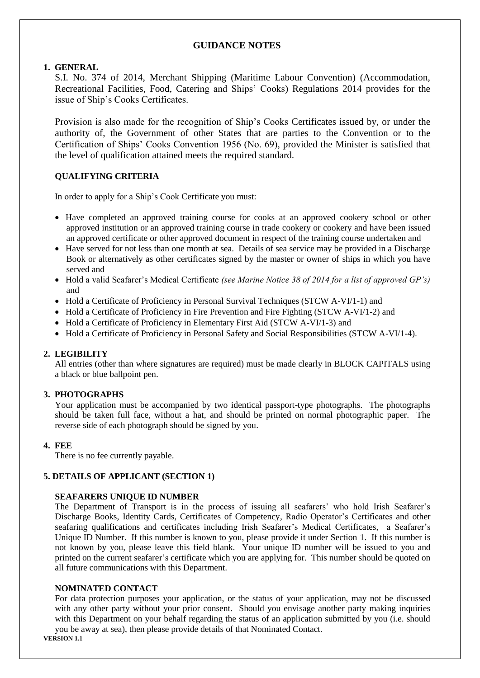## **GUIDANCE NOTES**

#### **1. GENERAL**

S.I. No. 374 of 2014, Merchant Shipping (Maritime Labour Convention) (Accommodation, Recreational Facilities, Food, Catering and Ships' Cooks) Regulations 2014 provides for the issue of Ship's Cooks Certificates.

Provision is also made for the recognition of Ship's Cooks Certificates issued by, or under the authority of, the Government of other States that are parties to the Convention or to the Certification of Ships' Cooks Convention 1956 (No. 69), provided the Minister is satisfied that the level of qualification attained meets the required standard.

## **QUALIFYING CRITERIA**

In order to apply for a Ship's Cook Certificate you must:

- Have completed an approved training course for cooks at an approved cookery school or other approved institution or an approved training course in trade cookery or cookery and have been issued an approved certificate or other approved document in respect of the training course undertaken and
- Have served for not less than one month at sea. Details of sea service may be provided in a Discharge Book or alternatively as other certificates signed by the master or owner of ships in which you have served and
- Hold a valid Seafarer's Medical Certificate *(see Marine Notice 38 of 2014 for a list of approved GP's)* and
- Hold a Certificate of Proficiency in Personal Survival Techniques (STCW A-VI/1-1) and
- $\bullet$  Hold a Certificate of Proficiency in Fire Prevention and Fire Fighting (STCW A-VI/1-2) and
- Hold a Certificate of Proficiency in Elementary First Aid (STCW A-VI/1-3) and
- Hold a Certificate of Proficiency in Personal Safety and Social Responsibilities (STCW A-VI/1-4).

### **2. LEGIBILITY**

All entries (other than where signatures are required) must be made clearly in BLOCK CAPITALS using a black or blue ballpoint pen.

### **3. PHOTOGRAPHS**

Your application must be accompanied by two identical passport-type photographs. The photographs should be taken full face, without a hat, and should be printed on normal photographic paper. The reverse side of each photograph should be signed by you.

### **4. FEE**

There is no fee currently payable.

### **5. DETAILS OF APPLICANT (SECTION 1)**

### **SEAFARERS UNIQUE ID NUMBER**

The Department of Transport is in the process of issuing all seafarers' who hold Irish Seafarer's Discharge Books, Identity Cards, Certificates of Competency, Radio Operator's Certificates and other seafaring qualifications and certificates including Irish Seafarer's Medical Certificates, a Seafarer's Unique ID Number. If this number is known to you, please provide it under Section 1. If this number is not known by you, please leave this field blank. Your unique ID number will be issued to you and printed on the current seafarer's certificate which you are applying for. This number should be quoted on all future communications with this Department.

#### **NOMINATED CONTACT**

For data protection purposes your application, or the status of your application, may not be discussed with any other party without your prior consent. Should you envisage another party making inquiries with this Department on your behalf regarding the status of an application submitted by you (i.e. should you be away at sea), then please provide details of that Nominated Contact.

**VERSION 1.1**